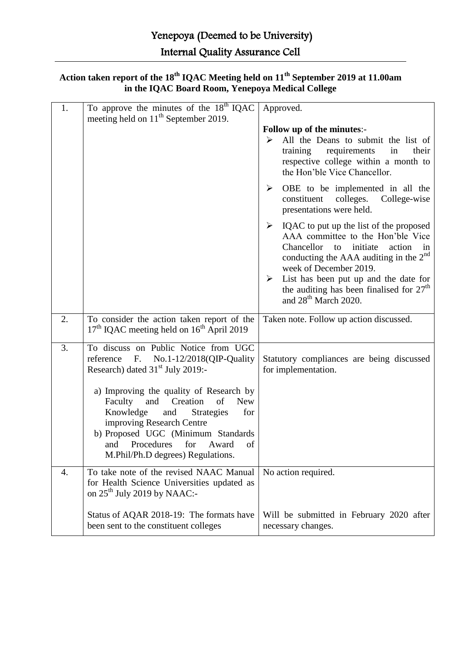| Action taken report of the 18 <sup>th</sup> IQAC Meeting held on 11 <sup>th</sup> September 2019 at 11.00am |  |  |  |
|-------------------------------------------------------------------------------------------------------------|--|--|--|
| in the IQAC Board Room, Yenepoya Medical College                                                            |  |  |  |

| 1. | To approve the minutes of the $18^{th}$ IQAC<br>meeting held on 11 <sup>th</sup> September 2019.                                                                                                                                                                                                                                                                                                                              | Approved.<br>Follow up of the minutes:-<br>All the Deans to submit the list of<br>➤<br>their<br>training<br>requirements<br>in<br>respective college within a month to<br>the Hon'ble Vice Chancellor.<br>➤<br>OBE to be implemented in all the<br>colleges.<br>constituent<br>College-wise<br>presentations were held.<br>$\blacktriangleright$<br>IQAC to put up the list of the proposed<br>AAA committee to the Hon'ble Vice<br>Chancellor<br>initiate<br>to<br>action in<br>conducting the AAA auditing in the $2nd$<br>week of December 2019.<br>List has been put up and the date for<br>$\blacktriangleright$<br>the auditing has been finalised for $27th$<br>and 28 <sup>th</sup> March 2020. |
|----|-------------------------------------------------------------------------------------------------------------------------------------------------------------------------------------------------------------------------------------------------------------------------------------------------------------------------------------------------------------------------------------------------------------------------------|---------------------------------------------------------------------------------------------------------------------------------------------------------------------------------------------------------------------------------------------------------------------------------------------------------------------------------------------------------------------------------------------------------------------------------------------------------------------------------------------------------------------------------------------------------------------------------------------------------------------------------------------------------------------------------------------------------|
| 2. | To consider the action taken report of the<br>17 <sup>th</sup> IQAC meeting held on 16 <sup>th</sup> April 2019                                                                                                                                                                                                                                                                                                               | Taken note. Follow up action discussed.                                                                                                                                                                                                                                                                                                                                                                                                                                                                                                                                                                                                                                                                 |
| 3. | To discuss on Public Notice from UGC<br>No.1-12/2018(QIP-Quality<br>reference F.<br>Research) dated 31 <sup>st</sup> July 2019:-<br>a) Improving the quality of Research by<br>and Creation<br>Faculty<br>of<br><b>New</b><br>Knowledge<br>for<br>and<br><b>Strategies</b><br>improving Research Centre<br>b) Proposed UGC (Minimum Standards<br>of<br>Procedures<br>for<br>and<br>Award<br>M.Phil/Ph.D degrees) Regulations. | Statutory compliances are being discussed<br>for implementation.                                                                                                                                                                                                                                                                                                                                                                                                                                                                                                                                                                                                                                        |
| 4. | To take note of the revised NAAC Manual<br>for Health Science Universities updated as<br>on $25^{th}$ July 2019 by NAAC:-<br>Status of AQAR 2018-19: The formats have<br>been sent to the constituent colleges                                                                                                                                                                                                                | No action required.<br>Will be submitted in February 2020 after<br>necessary changes.                                                                                                                                                                                                                                                                                                                                                                                                                                                                                                                                                                                                                   |